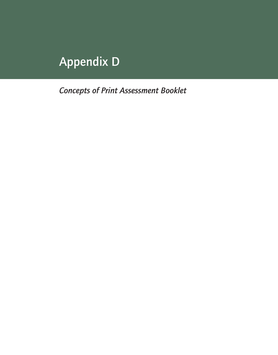## Appendix D

*Concepts of Print Assessment Booklet*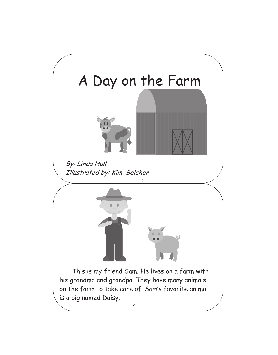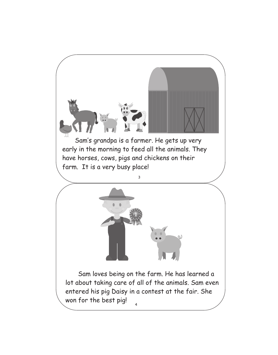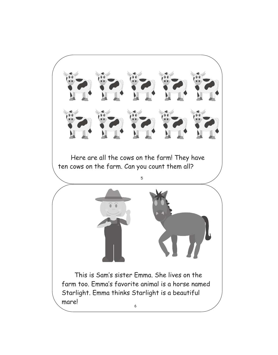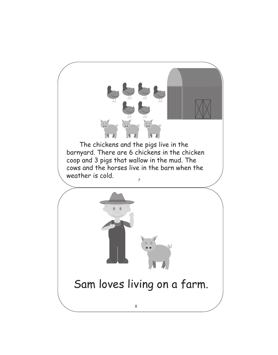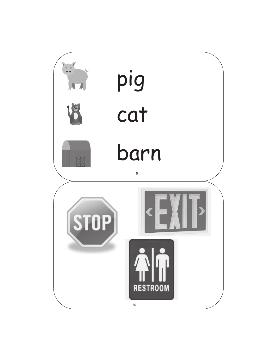